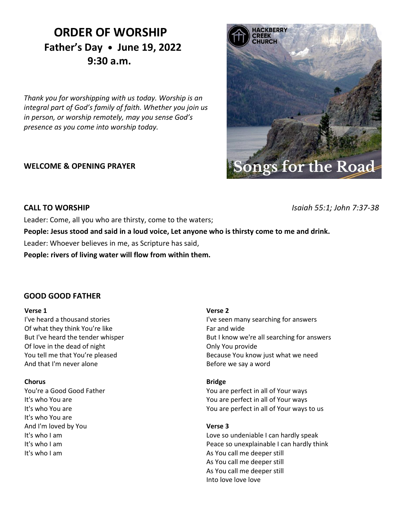# **ORDER OF WORSHIP Father's Day • June 19, 2022 9:30 a.m.**

*Thank you for worshipping with us today. Worship is an integral part of God's family of faith. Whether you join us in person, or worship remotely, may you sense God's presence as you come into worship today.*

### **WELCOME & OPENING PRAYER**

# **IACKBERRY URCH** Songs for the Road

**CALL TO WORSHIP** *Isaiah 55:1; John 7:37-38*

Leader: Come, all you who are thirsty, come to the waters;

**People: Jesus stood and said in a loud voice, Let anyone who is thirsty come to me and drink.**

Leader: Whoever believes in me, as Scripture has said,

**People: rivers of living water will flow from within them.**

### **GOOD GOOD FATHER**

### **Verse 1**

I've heard a thousand stories Of what they think You're like But I've heard the tender whisper Of love in the dead of night You tell me that You're pleased And that I'm never alone

### **Chorus**

You're a Good Good Father It's who You are It's who You are It's who You are And I'm loved by You It's who I am It's who I am It's who I am

### **Verse 2**

I've seen many searching for answers Far and wide But I know we're all searching for answers Only You provide Because You know just what we need Before we say a word

### **Bridge**

You are perfect in all of Your ways You are perfect in all of Your ways You are perfect in all of Your ways to us

### **Verse 3**

Love so undeniable I can hardly speak Peace so unexplainable I can hardly think As You call me deeper still As You call me deeper still As You call me deeper still Into love love love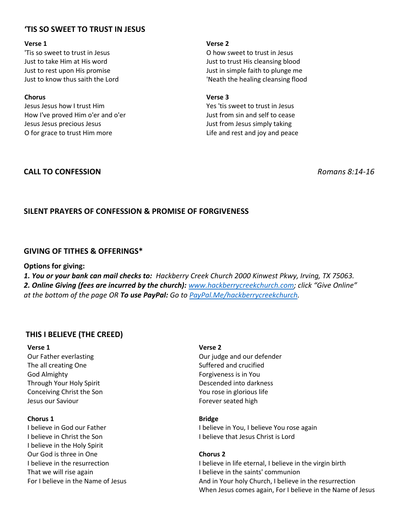# **'TIS SO SWEET TO TRUST IN JESUS**

### **Verse 1**

'Tis so sweet to trust in Jesus Just to take Him at His word Just to rest upon His promise Just to know thus saith the Lord

### **Chorus**

Jesus Jesus how I trust Him How I've proved Him o'er and o'er Jesus Jesus precious Jesus O for grace to trust Him more

### **Verse 2**

O how sweet to trust in Jesus Just to trust His cleansing blood Just in simple faith to plunge me 'Neath the healing cleansing flood

### **Verse 3**

Yes 'tis sweet to trust in Jesus Just from sin and self to cease Just from Jesus simply taking Life and rest and joy and peace

## **CALL TO CONFESSION** *Romans 8:14-16*

# **SILENT PRAYERS OF CONFESSION & PROMISE OF FORGIVENESS**

### **GIVING OF TITHES & OFFERINGS\***

### **Options for giving:**

*1. You or your bank can mail checks to: Hackberry Creek Church 2000 Kinwest Pkwy, Irving, TX 75063. 2. Online Giving (fees are incurred by the church): [www.hackberrycreekchurch.com](http://www.hackberrycreekchurch.com/); click "Give Online" at the bottom of the page OR To use PayPal: Go to [PayPal.Me/hackberrycreekchurch.](mailto:PayPal.Me/hackberrycreekchurch)*

## **THIS I BELIEVE (THE CREED)**

### **Verse 1**

Our Father everlasting The all creating One God Almighty Through Your Holy Spirit Conceiving Christ the Son Jesus our Saviour

### **Chorus 1**

I believe in God our Father I believe in Christ the Son I believe in the Holy Spirit Our God is three in One I believe in the resurrection That we will rise again For I believe in the Name of Jesus

### **Verse 2**

Our judge and our defender Suffered and crucified Forgiveness is in You Descended into darkness You rose in glorious life Forever seated high

### **Bridge**

I believe in You, I believe You rose again I believe that Jesus Christ is Lord

### **Chorus 2**

I believe in life eternal, I believe in the virgin birth I believe in the saints' communion And in Your holy Church, I believe in the resurrection When Jesus comes again, For I believe in the Name of Jesus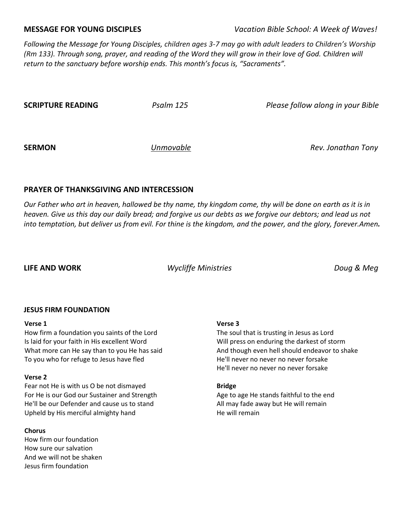**MESSAGE FOR YOUNG DISCIPLES** *Vacation Bible School: A Week of Waves!*

*Following the Message for Young Disciples, children ages 3-7 may go with adult leaders to Children's Worship (Rm 133). Through song, prayer, and reading of the Word they will grow in their love of God. Children will return to the sanctuary before worship ends. This month's focus is, "Sacraments".*

**SCRIPTURE READING** *Psalm 125 Please follow along in your Bible*

**SERMON** *Unmovable Rev. Jonathan Tony*

### **PRAYER OF THANKSGIVING AND INTERCESSION**

*Our Father who art in heaven, hallowed be thy name, thy kingdom come, thy will be done on earth as it is in heaven. Give us this day our daily bread; and forgive us our debts as we forgive our debtors; and lead us not into temptation, but deliver us from evil. For thine is the kingdom, and the power, and the glory, forever.Amen.*

**LIFE AND WORK** *Wycliffe Ministries Doug & Meg*

### **JESUS FIRM FOUNDATION**

### **Verse 1**

How firm a foundation you saints of the Lord Is laid for your faith in His excellent Word What more can He say than to you He has said To you who for refuge to Jesus have fled

### **Verse 2**

Fear not He is with us O be not dismayed For He is our God our Sustainer and Strength He'll be our Defender and cause us to stand Upheld by His merciful almighty hand

### **Chorus**

How firm our foundation How sure our salvation And we will not be shaken Jesus firm foundation

### **Verse 3**

The soul that is trusting in Jesus as Lord Will press on enduring the darkest of storm And though even hell should endeavor to shake He'll never no never no never forsake He'll never no never no never forsake

### **Bridge**

Age to age He stands faithful to the end All may fade away but He will remain He will remain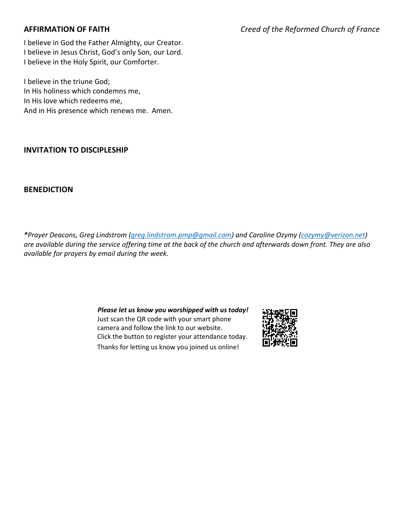I believe in God the Father Almighty, our Creator. I believe in Jesus Christ, God's only Son, our Lord. I believe in the Holy Spirit, our Comforter.

I believe in the triune God; In His holiness which condemns me, In His love which redeems me, And in His presence which renews me. Amen.

## **INVITATION TO DISCIPLESHIP**

### **BENEDICTION**

*\*Prayer Deacons, Greg Lindstrom [\(greg.lindstrom.pmp@gmail.com\)](mailto:greg.lindstrom.pmp@gmail.com) and Caroline Ozymy [\(cozymy@verizon.net\)](mailto:cozymy@verizon.net) are available during the service offering time at the back of the church and afterwards down front. They are also available for prayers by email during the week.*

> *Please let us know you worshipped with us today!* Just scan the QR code with your smart phone camera and follow the link to our website. Click the button to register your attendance today. Thanks for letting us know you joined us online!

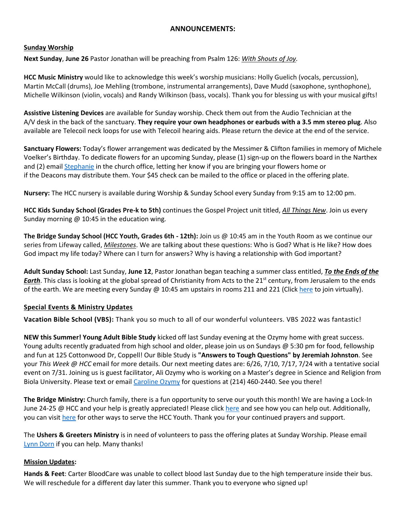### **ANNOUNCEMENTS:**

### **Sunday Worship**

**Next Sunday**, **June 26** Pastor Jonathan will be preaching from Psalm 126: *With Shouts of Joy.*

**HCC Music Ministry** would like to acknowledge this week's worship musicians: Holly Guelich (vocals, percussion), Martin McCall (drums), Joe Mehling (trombone, instrumental arrangements), Dave Mudd (saxophone, synthophone), Michelle Wilkinson (violin, vocals) and Randy Wilkinson (bass, vocals). Thank you for blessing us with your musical gifts!

**Assistive Listening Devices** are available for Sunday worship. Check them out from the Audio Technician at the A/V desk in the back of the sanctuary. **They require your own headphones or earbuds with a 3.5 mm stereo plug**. Also available are Telecoil neck loops for use with Telecoil hearing aids. Please return the device at the end of the service.

**Sanctuary Flowers:** Today's flower arrangement was dedicated by the Messimer & Clifton families in memory of Michele Voelker's Birthday. To dedicate flowers for an upcoming Sunday, please (1) sign-up on the flowers board in the Narthex and (2) email [Stephanie](mailto:admin@hackberrycreekchurch.com) in the church office, letting her know if you are bringing your flowers home or if the Deacons may distribute them. Your \$45 check can be mailed to the office or placed in the offering plate.

**Nursery:** The HCC nursery is available during Worship & Sunday School every Sunday from 9:15 am to 12:00 pm.

**HCC Kids Sunday School (Grades Pre-k to 5th)** continues the Gospel Project unit titled, *All Things New*. Join us every Sunday morning @ 10:45 in the education wing*.* 

**The Bridge Sunday School (HCC Youth, Grades 6th - 12th):** Join us @ 10:45 am in the Youth Room as we continue our series from Lifeway called, *Milestones*. We are talking about these questions: Who is God? What is He like? How does God impact my life today? Where can I turn for answers? Why is having a relationship with God important?

**Adult Sunday School:** Last Sunday, **June 12**, Pastor Jonathan began teaching a summer class entitled, *To the Ends of the Earth*. This class is looking at the global spread of Christianity from Acts to the 21<sup>st</sup> century, from Jerusalem to the ends of the earth. We are meeting every Sunday @ 10:45 am upstairs in rooms 211 and 221 (Clic[k here](https://us02web.zoom.us/j/273688835?pwd=RmxCNDFVMXVmdE44M1hvNGwzK1JOQT09) to join virtually).

### **Special Events & Ministry Updates**

**Vacation Bible School (VBS):** Thank you so much to all of our wonderful volunteers. VBS 2022 was fantastic!

**NEW this Summer! Young Adult Bible Study** kicked off last Sunday evening at the Ozymy home with great success. Young adults recently graduated from high school and older, please join us on Sundays @ 5:30 pm for food, fellowship and fun at 125 Cottonwood Dr, Coppell! Our Bible Study is **"Answers to Tough Questions" by Jeremiah Johnston**. See your *This Week @ HCC* email for more details. Our next meeting dates are: 6/26, 7/10, 7/17, 7/24 with a tentative social event on 7/31. Joining us is guest facilitator, Ali Ozymy who is working on a Master's degree in Science and Religion from Biola University. Please text or emai[l Caroline](mailto:cozymy@verizon.net) Ozymy for questions at (214) 460-2440. See you there!

**The Bridge Ministry:** Church family, there is a fun opportunity to serve our youth this month! We are having a Lock-In June 24-25 @ HCC and your help is greatly appreciated! Please click [here](https://www.hackberrycreekchurch.com/lockin2022.html) and see how you can help out. Additionally, you can visi[t here](https://www.hackberrycreekchurch.com/servestudents.html) for other ways to serve the HCC Youth. Thank you for your continued prayers and support.

The **Ushers & Greeters Ministry** is in need of volunteers to pass the offering plates at Sunday Worship. Please email [Lynn Dorn](mailto:msldorn57@gmail.com) if you can help. Many thanks!

### **Mission Updates:**

**Hands & Feet**: Carter BloodCare was unable to collect blood last Sunday due to the high temperature inside their bus. We will reschedule for a different day later this summer. Thank you to everyone who signed up!